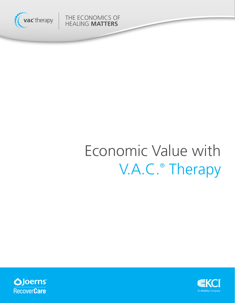

THE ECONOMICS OF HEALING **MATTERS**

# Economic Value with V.A.C.® Therapy



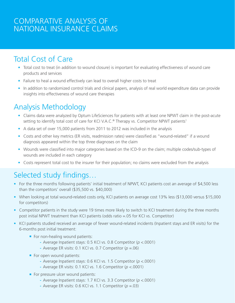## COMPARATIVE ANALYSIS OF NATIONAL INSURANCE CLAIMS

## Total Cost of Care

- Total cost to treat (in addition to wound closure) is important for evaluating effectiveness of wound care products and services
- Failure to heal a wound effectively can lead to overall higher costs to treat
- In addition to randomized control trials and clinical papers, analysis of real world expenditure data can provide insights into effectiveness of wound care therapies

## Analysis Methodology

- Claims data were analyzed by Optum LifeSciences for patients with at least one NPWT claim in the post-acute setting to identify total cost of care for KCI V.A.C.<sup>®</sup> Therapy vs. Competitor NPWT patients<sup>1</sup>
- A data set of over 15,000 patients from 2011 to 2012 was included in the analysis
- Costs and other key metrics (ER visits, readmission rates) were classified as "wound-related" if a wound diagnosis appeared within the top three diagnoses on the claim
- Wounds were classified into major categories based on the ICD-9 on the claim; multiple codes/sub-types of wounds are included in each category
- Costs represent total cost to the insurer for their population; no claims were excluded from the analysis

## Selected study findings…

- For the three months following patients' initial treatment of NPWT, KCI patients cost an average of \$4,500 less than the competitors' overall (\$35,500 vs. \$40,000)
- When looking at total wound-related costs only, KCI patients on average cost 13% less (\$13,000 versus \$15,000 for competitors)
- Competitor patients in the study were 19 times more likely to switch to KCI treatment during the three months post initial NPWT treatment than KCI patients (odds ratio =.05 for KCI vs. Competitor)
- KCI patients studied received an average of fewer wound-related incidents (Inpatient stays and ER visits) for the 6-months post initial treatment:
	- For non-healing wound patients:
		- **-** Average Inpatient stays: 0.5 KCI vs. 0.8 Competitor (*p* <.0001)
		- **-** Average ER visits: 0.1 KCI vs. 0.7 Competitor (*p* =.06)
	- For open wound patients:
		- **-** Average Inpatient stays: 0.6 KCI vs. 1.5 Competitor (*p* <.0001)
		- **-** Average ER visits: 0.1 KCI vs. 1.6 Competitor (*p* <.0001)
	- For pressure ulcer wound patients:
		- **-** Average Inpatient stays: 1.7 KCI vs. 3.3 Competitor (*p* <.0001)
		- **-** Average ER visits: 0.6 KCI vs. 1.1 Competitor (*p* =.03)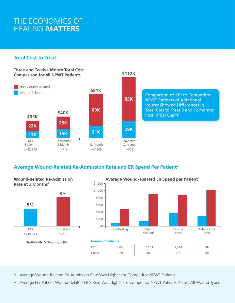## THE ECONOMICS OF HEALING **MATTERS**

#### **Total Cost to Treat**



### **Average Wound-Related Re-Admission Rate and ER Spend Per Patient2**





- Average Wound-Related Re-Admission Rate Was Higher for Competitor NPWT Patients
- Average Per Patient Wound-Related ER Spend Was Higher for Competitor NPWT Patients Across All Wound Types